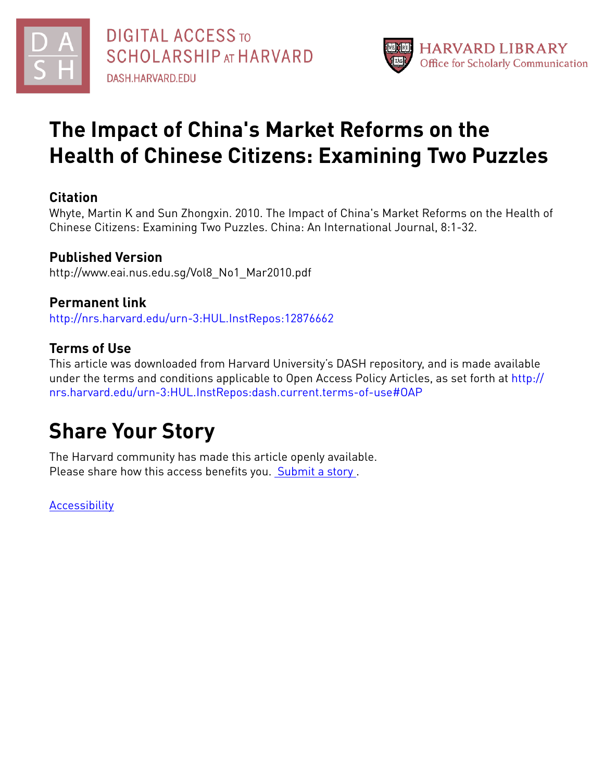



# **The Impact of China's Market Reforms on the Health of Chinese Citizens: Examining Two Puzzles**

## **Citation**

Whyte, Martin K and Sun Zhongxin. 2010. The Impact of China's Market Reforms on the Health of Chinese Citizens: Examining Two Puzzles. China: An International Journal, 8:1-32.

# **Published Version**

http://www.eai.nus.edu.sg/Vol8\_No1\_Mar2010.pdf

# **Permanent link**

<http://nrs.harvard.edu/urn-3:HUL.InstRepos:12876662>

# **Terms of Use**

This article was downloaded from Harvard University's DASH repository, and is made available under the terms and conditions applicable to Open Access Policy Articles, as set forth at [http://](http://nrs.harvard.edu/urn-3:HUL.InstRepos:dash.current.terms-of-use#OAP) [nrs.harvard.edu/urn-3:HUL.InstRepos:dash.current.terms-of-use#OAP](http://nrs.harvard.edu/urn-3:HUL.InstRepos:dash.current.terms-of-use#OAP)

# **Share Your Story**

The Harvard community has made this article openly available. Please share how this access benefits you. [Submit](http://osc.hul.harvard.edu/dash/open-access-feedback?handle=&title=The%20Impact%20of%20China) a story.

**[Accessibility](https://dash.harvard.edu/pages/accessibility)**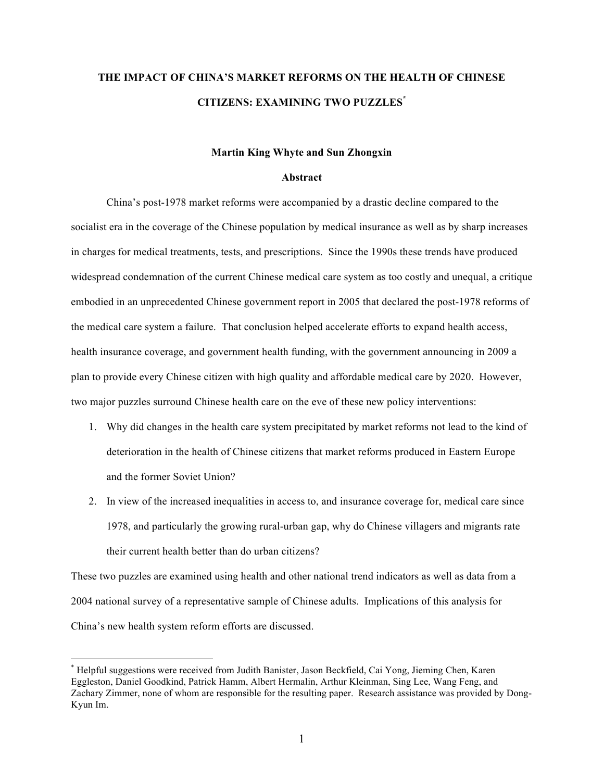# **THE IMPACT OF CHINA'S MARKET REFORMS ON THE HEALTH OF CHINESE CITIZENS: EXAMINING TWO PUZZLES\***

### **Martin King Whyte and Sun Zhongxin**

#### **Abstract**

China's post-1978 market reforms were accompanied by a drastic decline compared to the socialist era in the coverage of the Chinese population by medical insurance as well as by sharp increases in charges for medical treatments, tests, and prescriptions. Since the 1990s these trends have produced widespread condemnation of the current Chinese medical care system as too costly and unequal, a critique embodied in an unprecedented Chinese government report in 2005 that declared the post-1978 reforms of the medical care system a failure. That conclusion helped accelerate efforts to expand health access, health insurance coverage, and government health funding, with the government announcing in 2009 a plan to provide every Chinese citizen with high quality and affordable medical care by 2020. However, two major puzzles surround Chinese health care on the eve of these new policy interventions:

- 1. Why did changes in the health care system precipitated by market reforms not lead to the kind of deterioration in the health of Chinese citizens that market reforms produced in Eastern Europe and the former Soviet Union?
- 2. In view of the increased inequalities in access to, and insurance coverage for, medical care since 1978, and particularly the growing rural-urban gap, why do Chinese villagers and migrants rate their current health better than do urban citizens?

These two puzzles are examined using health and other national trend indicators as well as data from a 2004 national survey of a representative sample of Chinese adults. Implications of this analysis for China's new health system reform efforts are discussed.

 <sup>\*</sup> Helpful suggestions were received from Judith Banister, Jason Beckfield, Cai Yong, Jieming Chen, Karen Eggleston, Daniel Goodkind, Patrick Hamm, Albert Hermalin, Arthur Kleinman, Sing Lee, Wang Feng, and Zachary Zimmer, none of whom are responsible for the resulting paper. Research assistance was provided by Dong-Kyun Im.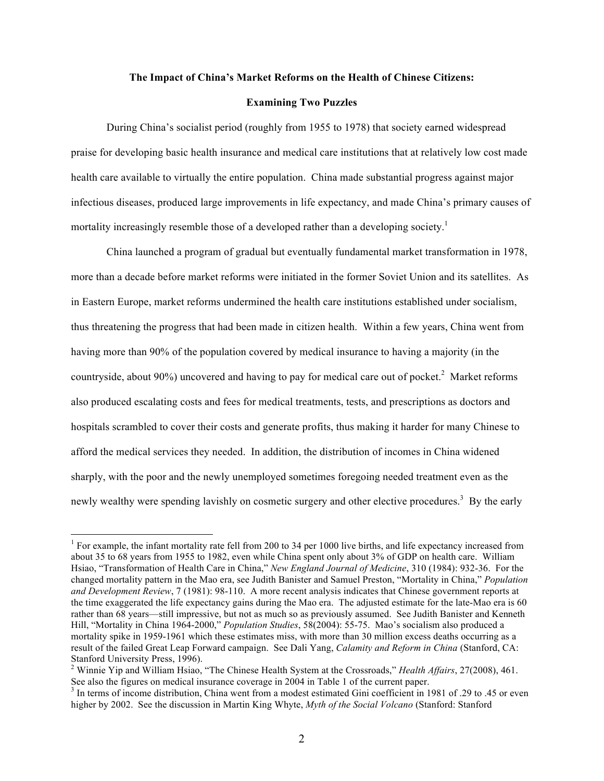#### **The Impact of China's Market Reforms on the Health of Chinese Citizens:**

#### **Examining Two Puzzles**

During China's socialist period (roughly from 1955 to 1978) that society earned widespread praise for developing basic health insurance and medical care institutions that at relatively low cost made health care available to virtually the entire population. China made substantial progress against major infectious diseases, produced large improvements in life expectancy, and made China's primary causes of mortality increasingly resemble those of a developed rather than a developing society.<sup>1</sup>

China launched a program of gradual but eventually fundamental market transformation in 1978, more than a decade before market reforms were initiated in the former Soviet Union and its satellites. As in Eastern Europe, market reforms undermined the health care institutions established under socialism, thus threatening the progress that had been made in citizen health. Within a few years, China went from having more than 90% of the population covered by medical insurance to having a majority (in the countryside, about 90%) uncovered and having to pay for medical care out of pocket.<sup>2</sup> Market reforms also produced escalating costs and fees for medical treatments, tests, and prescriptions as doctors and hospitals scrambled to cover their costs and generate profits, thus making it harder for many Chinese to afford the medical services they needed. In addition, the distribution of incomes in China widened sharply, with the poor and the newly unemployed sometimes foregoing needed treatment even as the newly wealthy were spending lavishly on cosmetic surgery and other elective procedures.<sup>3</sup> By the early

<sup>&</sup>lt;sup>1</sup> For example, the infant mortality rate fell from 200 to 34 per 1000 live births, and life expectancy increased from about 35 to 68 years from 1955 to 1982, even while China spent only about 3% of GDP on health care. William Hsiao, "Transformation of Health Care in China," *New England Journal of Medicine*, 310 (1984): 932-36. For the changed mortality pattern in the Mao era, see Judith Banister and Samuel Preston, "Mortality in China," *Population and Development Review*, 7 (1981): 98-110. A more recent analysis indicates that Chinese government reports at the time exaggerated the life expectancy gains during the Mao era. The adjusted estimate for the late-Mao era is 60 rather than 68 years—still impressive, but not as much so as previously assumed. See Judith Banister and Kenneth Hill, "Mortality in China 1964-2000," *Population Studies*, 58(2004): 55-75. Mao's socialism also produced a mortality spike in 1959-1961 which these estimates miss, with more than 30 million excess deaths occurring as a result of the failed Great Leap Forward campaign. See Dali Yang, *Calamity and Reform in China* (Stanford, CA: Stanford University Press, 1996).

<sup>2</sup> Winnie Yip and William Hsiao, "The Chinese Health System at the Crossroads," *Health Affairs*, 27(2008), 461. See also the figures on medical insurance coverage in 2004 in Table 1 of the current paper.<br><sup>3</sup> In terms of income distribution, China went from a modest estimated Gini coefficient in 1981 of .29 to .45 or even

higher by 2002. See the discussion in Martin King Whyte, *Myth of the Social Volcano* (Stanford: Stanford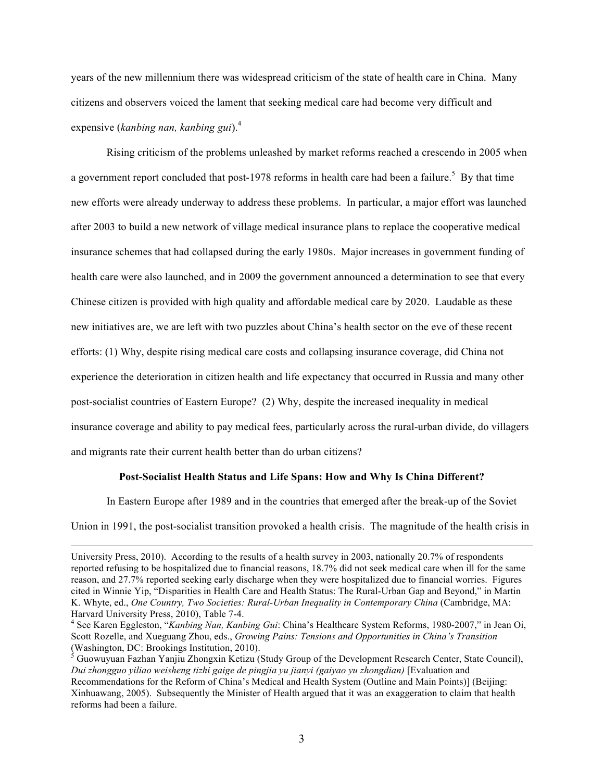years of the new millennium there was widespread criticism of the state of health care in China. Many citizens and observers voiced the lament that seeking medical care had become very difficult and expensive (*kanbing nan, kanbing gui*).<sup>4</sup>

Rising criticism of the problems unleashed by market reforms reached a crescendo in 2005 when a government report concluded that post-1978 reforms in health care had been a failure.<sup>5</sup> By that time new efforts were already underway to address these problems. In particular, a major effort was launched after 2003 to build a new network of village medical insurance plans to replace the cooperative medical insurance schemes that had collapsed during the early 1980s. Major increases in government funding of health care were also launched, and in 2009 the government announced a determination to see that every Chinese citizen is provided with high quality and affordable medical care by 2020. Laudable as these new initiatives are, we are left with two puzzles about China's health sector on the eve of these recent efforts: (1) Why, despite rising medical care costs and collapsing insurance coverage, did China not experience the deterioration in citizen health and life expectancy that occurred in Russia and many other post-socialist countries of Eastern Europe? (2) Why, despite the increased inequality in medical insurance coverage and ability to pay medical fees, particularly across the rural-urban divide, do villagers and migrants rate their current health better than do urban citizens?

#### **Post-Socialist Health Status and Life Spans: How and Why Is China Different?**

In Eastern Europe after 1989 and in the countries that emerged after the break-up of the Soviet

Union in 1991, the post-socialist transition provoked a health crisis. The magnitude of the health crisis in

University Press, 2010). According to the results of a health survey in 2003, nationally 20.7% of respondents reported refusing to be hospitalized due to financial reasons, 18.7% did not seek medical care when ill for the same reason, and 27.7% reported seeking early discharge when they were hospitalized due to financial worries. Figures cited in Winnie Yip, "Disparities in Health Care and Health Status: The Rural-Urban Gap and Beyond," in Martin K. Whyte, ed., *One Country, Two Societies: Rural-Urban Inequality in Contemporary China* (Cambridge, MA: Harvard University Press, 2010), Table 7-4.<br><sup>4</sup> See Karen Eggleston, "*Kanbing Nan, Kanbing Gui*: China's Healthcare System Reforms, 1980-2007," in Jean Oi,

Scott Rozelle, and Xueguang Zhou, eds., *Growing Pains: Tensions and Opportunities in China's Transition* (Washington, DC: Brookings Institution, 2010).

<sup>&</sup>lt;sup>5</sup> Guowuyuan Fazhan Yanjiu Zhongxin Ketizu (Study Group of the Development Research Center, State Council), *Dui zhongguo yiliao weisheng tizhi gaige de pingjia yu jianyi (gaiyao yu zhongdian)* [Evaluation and Recommendations for the Reform of China's Medical and Health System (Outline and Main Points)] (Beijing: Xinhuawang, 2005). Subsequently the Minister of Health argued that it was an exaggeration to claim that health reforms had been a failure.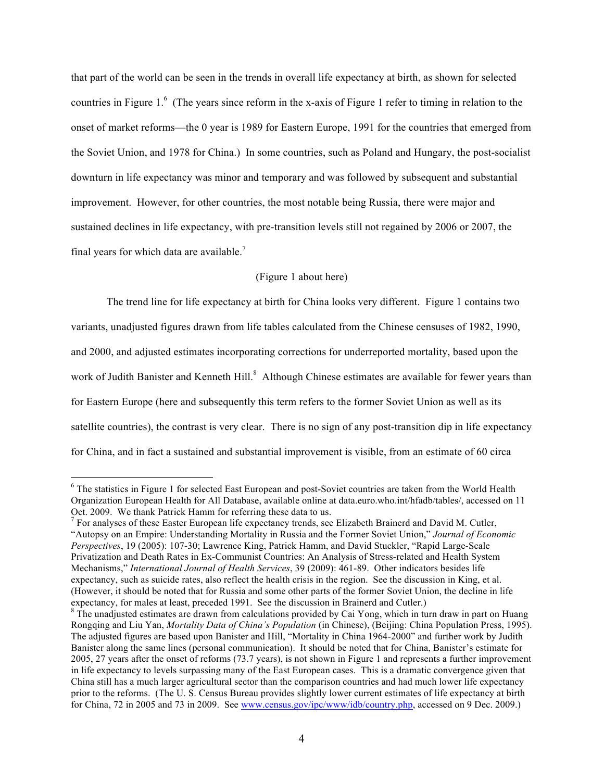that part of the world can be seen in the trends in overall life expectancy at birth, as shown for selected countries in Figure 1.<sup>6</sup> (The years since reform in the x-axis of Figure 1 refer to timing in relation to the onset of market reforms—the 0 year is 1989 for Eastern Europe, 1991 for the countries that emerged from the Soviet Union, and 1978 for China.) In some countries, such as Poland and Hungary, the post-socialist downturn in life expectancy was minor and temporary and was followed by subsequent and substantial improvement. However, for other countries, the most notable being Russia, there were major and sustained declines in life expectancy, with pre-transition levels still not regained by 2006 or 2007, the final years for which data are available.<sup>7</sup>

## (Figure 1 about here)

The trend line for life expectancy at birth for China looks very different. Figure 1 contains two variants, unadjusted figures drawn from life tables calculated from the Chinese censuses of 1982, 1990, and 2000, and adjusted estimates incorporating corrections for underreported mortality, based upon the work of Judith Banister and Kenneth Hill.<sup>8</sup> Although Chinese estimates are available for fewer years than for Eastern Europe (here and subsequently this term refers to the former Soviet Union as well as its satellite countries), the contrast is very clear. There is no sign of any post-transition dip in life expectancy for China, and in fact a sustained and substantial improvement is visible, from an estimate of 60 circa

<sup>&</sup>lt;sup>6</sup> The statistics in Figure 1 for selected East European and post-Soviet countries are taken from the World Health Organization European Health for All Database, available online at data.euro.who.int/hfadb/tables/, accessed on 11 Oct. 2009. We thank Patrick Hamm for referring these data to us.

 $<sup>7</sup>$  For analyses of these Easter European life expectancy trends, see Elizabeth Brainerd and David M. Cutler,</sup> "Autopsy on an Empire: Understanding Mortality in Russia and the Former Soviet Union," *Journal of Economic Perspectives*, 19 (2005): 107-30; Lawrence King, Patrick Hamm, and David Stuckler, "Rapid Large-Scale Privatization and Death Rates in Ex-Communist Countries: An Analysis of Stress-related and Health System Mechanisms," *International Journal of Health Services*, 39 (2009): 461-89. Other indicators besides life expectancy, such as suicide rates, also reflect the health crisis in the region. See the discussion in King, et al. (However, it should be noted that for Russia and some other parts of the former Soviet Union, the decline in life expectancy, for males at least, preceded 1991. See the discussion in Brainerd and Cutler.)

<sup>&</sup>lt;sup>8</sup> The unadjusted estimates are drawn from calculations provided by Cai Yong, which in turn draw in part on Huang Rongqing and Liu Yan, *Mortality Data of China's Population* (in Chinese), (Beijing: China Population Press, 1995). The adjusted figures are based upon Banister and Hill, "Mortality in China 1964-2000" and further work by Judith Banister along the same lines (personal communication). It should be noted that for China, Banister's estimate for 2005, 27 years after the onset of reforms (73.7 years), is not shown in Figure 1 and represents a further improvement in life expectancy to levels surpassing many of the East European cases. This is a dramatic convergence given that China still has a much larger agricultural sector than the comparison countries and had much lower life expectancy prior to the reforms. (The U. S. Census Bureau provides slightly lower current estimates of life expectancy at birth for China, 72 in 2005 and 73 in 2009. See www.census.gov/ipc/www/idb/country.php, accessed on 9 Dec. 2009.)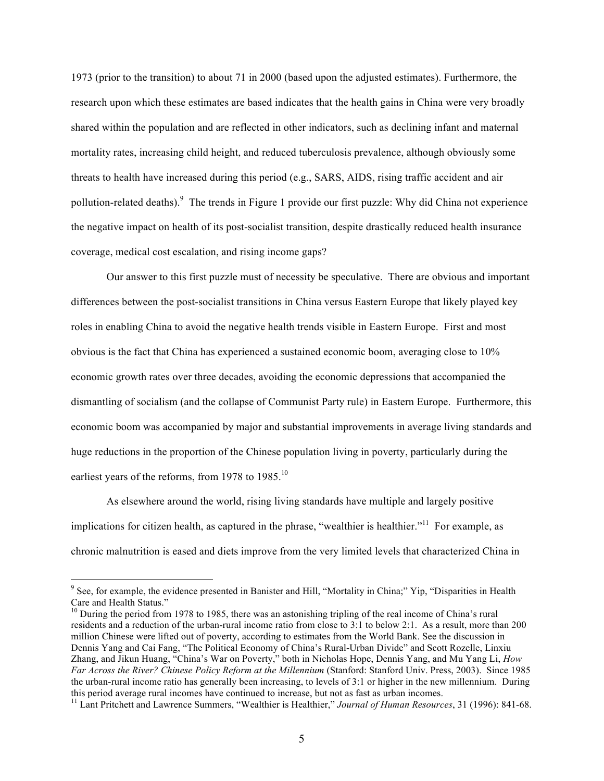1973 (prior to the transition) to about 71 in 2000 (based upon the adjusted estimates). Furthermore, the research upon which these estimates are based indicates that the health gains in China were very broadly shared within the population and are reflected in other indicators, such as declining infant and maternal mortality rates, increasing child height, and reduced tuberculosis prevalence, although obviously some threats to health have increased during this period (e.g., SARS, AIDS, rising traffic accident and air pollution-related deaths). <sup>9</sup> The trends in Figure 1 provide our first puzzle: Why did China not experience the negative impact on health of its post-socialist transition, despite drastically reduced health insurance coverage, medical cost escalation, and rising income gaps?

Our answer to this first puzzle must of necessity be speculative. There are obvious and important differences between the post-socialist transitions in China versus Eastern Europe that likely played key roles in enabling China to avoid the negative health trends visible in Eastern Europe. First and most obvious is the fact that China has experienced a sustained economic boom, averaging close to 10% economic growth rates over three decades, avoiding the economic depressions that accompanied the dismantling of socialism (and the collapse of Communist Party rule) in Eastern Europe. Furthermore, this economic boom was accompanied by major and substantial improvements in average living standards and huge reductions in the proportion of the Chinese population living in poverty, particularly during the earliest years of the reforms, from 1978 to 1985.<sup>10</sup>

As elsewhere around the world, rising living standards have multiple and largely positive implications for citizen health, as captured in the phrase, "wealthier is healthier."<sup>11</sup> For example, as chronic malnutrition is eased and diets improve from the very limited levels that characterized China in

<sup>&</sup>lt;sup>9</sup> See, for example, the evidence presented in Banister and Hill, "Mortality in China;" Yip, "Disparities in Health Care and Health Status."

<sup>&</sup>lt;sup>10</sup> During the period from 1978 to 1985, there was an astonishing tripling of the real income of China's rural residents and a reduction of the urban-rural income ratio from close to 3:1 to below 2:1. As a result, more than 200 million Chinese were lifted out of poverty, according to estimates from the World Bank. See the discussion in Dennis Yang and Cai Fang, "The Political Economy of China's Rural-Urban Divide" and Scott Rozelle, Linxiu Zhang, and Jikun Huang, "China's War on Poverty," both in Nicholas Hope, Dennis Yang, and Mu Yang Li, *How Far Across the River? Chinese Policy Reform at the Millennium* (Stanford: Stanford Univ. Press, 2003). Since 1985 the urban-rural income ratio has generally been increasing, to levels of 3:1 or higher in the new millennium. During this period average rural incomes have continued to increase, but not as fast as urban incomes.

<sup>&</sup>lt;sup>11</sup> Lant Pritchett and Lawrence Summers, "Wealthier is Healthier," Journal of Human Resources, 31 (1996): 841-68.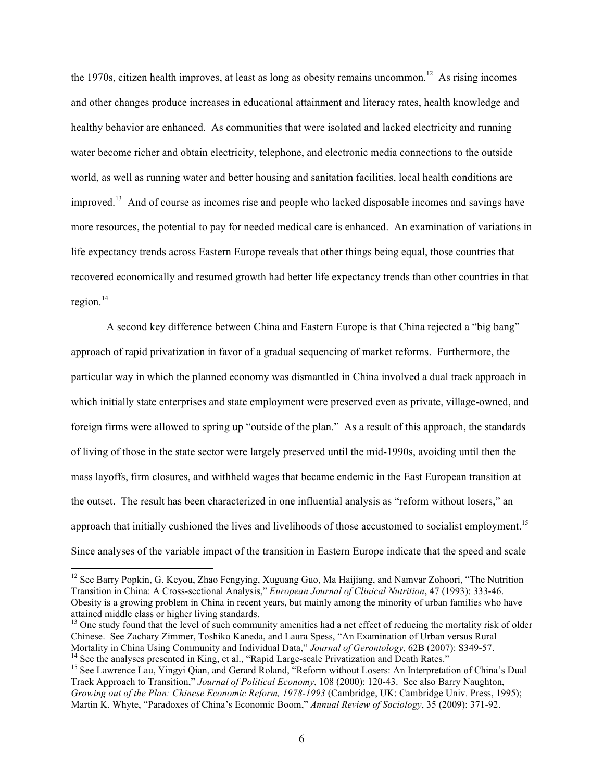the 1970s, citizen health improves, at least as long as obesity remains uncommon.<sup>12</sup> As rising incomes and other changes produce increases in educational attainment and literacy rates, health knowledge and healthy behavior are enhanced. As communities that were isolated and lacked electricity and running water become richer and obtain electricity, telephone, and electronic media connections to the outside world, as well as running water and better housing and sanitation facilities, local health conditions are improved.<sup>13</sup> And of course as incomes rise and people who lacked disposable incomes and savings have more resources, the potential to pay for needed medical care is enhanced. An examination of variations in life expectancy trends across Eastern Europe reveals that other things being equal, those countries that recovered economically and resumed growth had better life expectancy trends than other countries in that region. $^{14}$ 

A second key difference between China and Eastern Europe is that China rejected a "big bang" approach of rapid privatization in favor of a gradual sequencing of market reforms. Furthermore, the particular way in which the planned economy was dismantled in China involved a dual track approach in which initially state enterprises and state employment were preserved even as private, village-owned, and foreign firms were allowed to spring up "outside of the plan." As a result of this approach, the standards of living of those in the state sector were largely preserved until the mid-1990s, avoiding until then the mass layoffs, firm closures, and withheld wages that became endemic in the East European transition at the outset. The result has been characterized in one influential analysis as "reform without losers," an approach that initially cushioned the lives and livelihoods of those accustomed to socialist employment.<sup>15</sup> Since analyses of the variable impact of the transition in Eastern Europe indicate that the speed and scale

<sup>&</sup>lt;sup>12</sup> See Barry Popkin, G. Keyou, Zhao Fengying, Xuguang Guo, Ma Haijiang, and Namvar Zohoori, "The Nutrition Transition in China: A Cross-sectional Analysis," *European Journal of Clinical Nutrition*, 47 (1993): 333-46. Obesity is a growing problem in China in recent years, but mainly among the minority of urban families who have attained middle class or higher living standards.

 $<sup>13</sup>$  One study found that the level of such community amenities had a net effect of reducing the mortality risk of older</sup> Chinese. See Zachary Zimmer, Toshiko Kaneda, and Laura Spess, "An Examination of Urban versus Rural<br>Mortality in China Using Community and Individual Data," Journal of Gerontology, 62B (2007): S349-57. <sup>14</sup> See the analyses presented in King, et al., "Rapid Large-scale Privatization and Death Rates."<br><sup>15</sup> See Lawrence Lau, Yingyi Qian, and Gerard Roland, "Reform without Losers: An Interpretation of China's Dual

Track Approach to Transition," *Journal of Political Economy*, 108 (2000): 120-43. See also Barry Naughton, *Growing out of the Plan: Chinese Economic Reform, 1978-1993* (Cambridge, UK: Cambridge Univ. Press, 1995); Martin K. Whyte, "Paradoxes of China's Economic Boom," *Annual Review of Sociology*, 35 (2009): 371-92.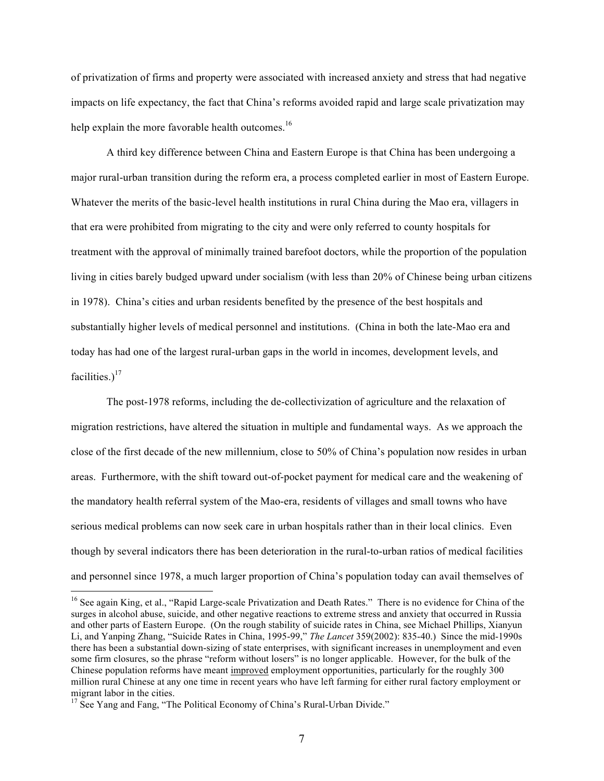of privatization of firms and property were associated with increased anxiety and stress that had negative impacts on life expectancy, the fact that China's reforms avoided rapid and large scale privatization may help explain the more favorable health outcomes.<sup>16</sup>

A third key difference between China and Eastern Europe is that China has been undergoing a major rural-urban transition during the reform era, a process completed earlier in most of Eastern Europe. Whatever the merits of the basic-level health institutions in rural China during the Mao era, villagers in that era were prohibited from migrating to the city and were only referred to county hospitals for treatment with the approval of minimally trained barefoot doctors, while the proportion of the population living in cities barely budged upward under socialism (with less than 20% of Chinese being urban citizens in 1978). China's cities and urban residents benefited by the presence of the best hospitals and substantially higher levels of medical personnel and institutions. (China in both the late-Mao era and today has had one of the largest rural-urban gaps in the world in incomes, development levels, and facilities.) $17$ 

The post-1978 reforms, including the de-collectivization of agriculture and the relaxation of migration restrictions, have altered the situation in multiple and fundamental ways. As we approach the close of the first decade of the new millennium, close to 50% of China's population now resides in urban areas. Furthermore, with the shift toward out-of-pocket payment for medical care and the weakening of the mandatory health referral system of the Mao-era, residents of villages and small towns who have serious medical problems can now seek care in urban hospitals rather than in their local clinics. Even though by several indicators there has been deterioration in the rural-to-urban ratios of medical facilities and personnel since 1978, a much larger proportion of China's population today can avail themselves of

<sup>&</sup>lt;sup>16</sup> See again King, et al., "Rapid Large-scale Privatization and Death Rates." There is no evidence for China of the surges in alcohol abuse, suicide, and other negative reactions to extreme stress and anxiety that occurred in Russia and other parts of Eastern Europe. (On the rough stability of suicide rates in China, see Michael Phillips, Xianyun Li, and Yanping Zhang, "Suicide Rates in China, 1995-99," *The Lancet* 359(2002): 835-40.) Since the mid-1990s there has been a substantial down-sizing of state enterprises, with significant increases in unemployment and even some firm closures, so the phrase "reform without losers" is no longer applicable. However, for the bulk of the Chinese population reforms have meant improved employment opportunities, particularly for the roughly 300 million rural Chinese at any one time in recent years who have left farming for either rural factory employment or migrant labor in the cities.

<sup>&</sup>lt;sup>17</sup> See Yang and Fang, "The Political Economy of China's Rural-Urban Divide."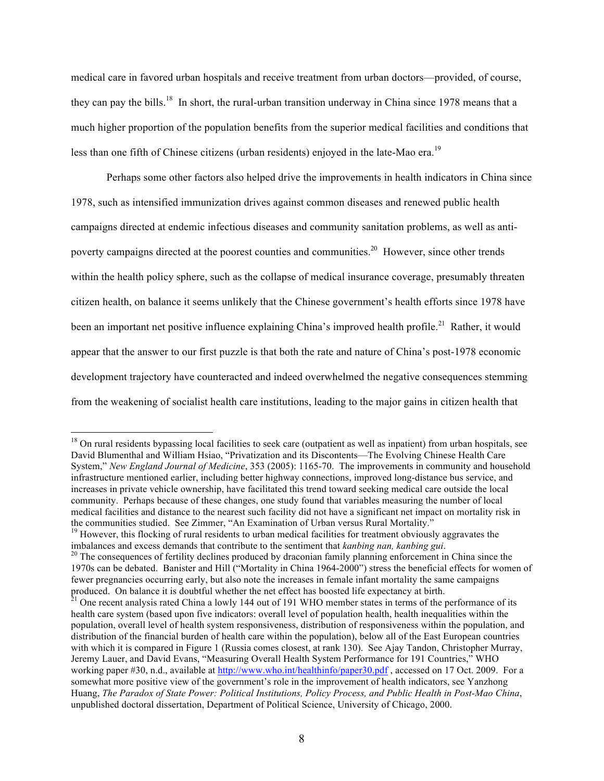medical care in favored urban hospitals and receive treatment from urban doctors—provided, of course, they can pay the bills.<sup>18</sup> In short, the rural-urban transition underway in China since 1978 means that a much higher proportion of the population benefits from the superior medical facilities and conditions that less than one fifth of Chinese citizens (urban residents) enjoyed in the late-Mao era.<sup>19</sup>

Perhaps some other factors also helped drive the improvements in health indicators in China since 1978, such as intensified immunization drives against common diseases and renewed public health campaigns directed at endemic infectious diseases and community sanitation problems, as well as antipoverty campaigns directed at the poorest counties and communities.<sup>20</sup> However, since other trends within the health policy sphere, such as the collapse of medical insurance coverage, presumably threaten citizen health, on balance it seems unlikely that the Chinese government's health efforts since 1978 have been an important net positive influence explaining China's improved health profile.<sup>21</sup> Rather, it would appear that the answer to our first puzzle is that both the rate and nature of China's post-1978 economic development trajectory have counteracted and indeed overwhelmed the negative consequences stemming from the weakening of socialist health care institutions, leading to the major gains in citizen health that

 $19$  However, this flocking of rural residents to urban medical facilities for treatment obviously aggravates the imbalances and excess demands that contribute to the sentiment that *kanbing nan, kanbing gui*. <sup>20</sup> The consequences of fertility declines produced by draconian family planning enforcement in China since the

<sup>&</sup>lt;sup>18</sup> On rural residents bypassing local facilities to seek care (outpatient as well as inpatient) from urban hospitals, see David Blumenthal and William Hsiao, "Privatization and its Discontents—The Evolving Chinese Health Care System," *New England Journal of Medicine*, 353 (2005): 1165-70. The improvements in community and household infrastructure mentioned earlier, including better highway connections, improved long-distance bus service, and increases in private vehicle ownership, have facilitated this trend toward seeking medical care outside the local community. Perhaps because of these changes, one study found that variables measuring the number of local medical facilities and distance to the nearest such facility did not have a significant net impact on mortality risk in the communities studied. See Zimmer, "An Examination of Urban versus Rural Mortality."

<sup>1970</sup>s can be debated. Banister and Hill ("Mortality in China 1964-2000") stress the beneficial effects for women of fewer pregnancies occurring early, but also note the increases in female infant mortality the same campaigns produced. On balance it is doubtful whether the net effect has boosted life expectancy at birth.<br><sup>21</sup> One recent analysis rated China a lowly 144 out of 191 WHO member states in terms of the performance of its

health care system (based upon five indicators: overall level of population health, health inequalities within the population, overall level of health system responsiveness, distribution of responsiveness within the population, and distribution of the financial burden of health care within the population), below all of the East European countries with which it is compared in Figure 1 (Russia comes closest, at rank 130). See Ajay Tandon, Christopher Murray, Jeremy Lauer, and David Evans, "Measuring Overall Health System Performance for 191 Countries," WHO working paper #30, n.d., available at http://www.who.int/healthinfo/paper30.pdf, accessed on 17 Oct. 2009. For a somewhat more positive view of the government's role in the improvement of health indicators, see Yanzhong Huang, *The Paradox of State Power: Political Institutions, Policy Process, and Public Health in Post-Mao China*, unpublished doctoral dissertation, Department of Political Science, University of Chicago, 2000.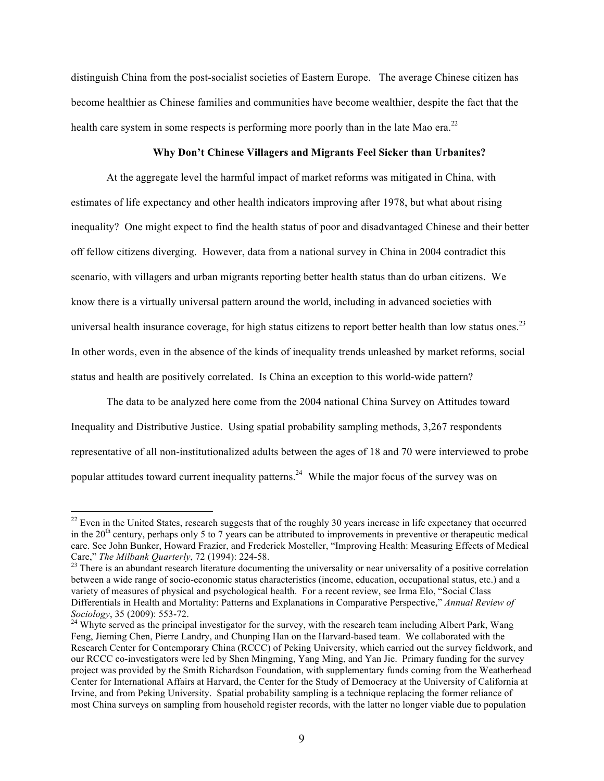distinguish China from the post-socialist societies of Eastern Europe. The average Chinese citizen has become healthier as Chinese families and communities have become wealthier, despite the fact that the health care system in some respects is performing more poorly than in the late Mao era.<sup>22</sup>

### **Why Don't Chinese Villagers and Migrants Feel Sicker than Urbanites?**

At the aggregate level the harmful impact of market reforms was mitigated in China, with estimates of life expectancy and other health indicators improving after 1978, but what about rising inequality? One might expect to find the health status of poor and disadvantaged Chinese and their better off fellow citizens diverging. However, data from a national survey in China in 2004 contradict this scenario, with villagers and urban migrants reporting better health status than do urban citizens. We know there is a virtually universal pattern around the world, including in advanced societies with universal health insurance coverage, for high status citizens to report better health than low status ones.<sup>23</sup> In other words, even in the absence of the kinds of inequality trends unleashed by market reforms, social status and health are positively correlated. Is China an exception to this world-wide pattern?

The data to be analyzed here come from the 2004 national China Survey on Attitudes toward Inequality and Distributive Justice. Using spatial probability sampling methods, 3,267 respondents representative of all non-institutionalized adults between the ages of 18 and 70 were interviewed to probe popular attitudes toward current inequality patterns.<sup>24</sup> While the major focus of the survey was on

 $^{22}$  Even in the United States, research suggests that of the roughly 30 years increase in life expectancy that occurred in the  $20<sup>th</sup>$  century, perhaps only 5 to 7 years can be attributed to improvements in preventive or therapeutic medical care. See John Bunker, Howard Frazier, and Frederick Mosteller, "Improving Health: Measuring Effects of Medical Care," *The Milbank Quarterly*, 72 (1994): 224-58. <sup>23</sup> There is an abundant research literature documenting the universality or near universality of a positive correlation

between a wide range of socio-economic status characteristics (income, education, occupational status, etc.) and a variety of measures of physical and psychological health. For a recent review, see Irma Elo, "Social Class Differentials in Health and Mortality: Patterns and Explanations in Comparative Perspective," *Annual Review of Sociology*, 35 (2009): 553-72. <sup>24</sup> Whyte served as the principal investigator for the survey, with the research team including Albert Park, Wang

Feng, Jieming Chen, Pierre Landry, and Chunping Han on the Harvard-based team. We collaborated with the Research Center for Contemporary China (RCCC) of Peking University, which carried out the survey fieldwork, and our RCCC co-investigators were led by Shen Mingming, Yang Ming, and Yan Jie. Primary funding for the survey project was provided by the Smith Richardson Foundation, with supplementary funds coming from the Weatherhead Center for International Affairs at Harvard, the Center for the Study of Democracy at the University of California at Irvine, and from Peking University. Spatial probability sampling is a technique replacing the former reliance of most China surveys on sampling from household register records, with the latter no longer viable due to population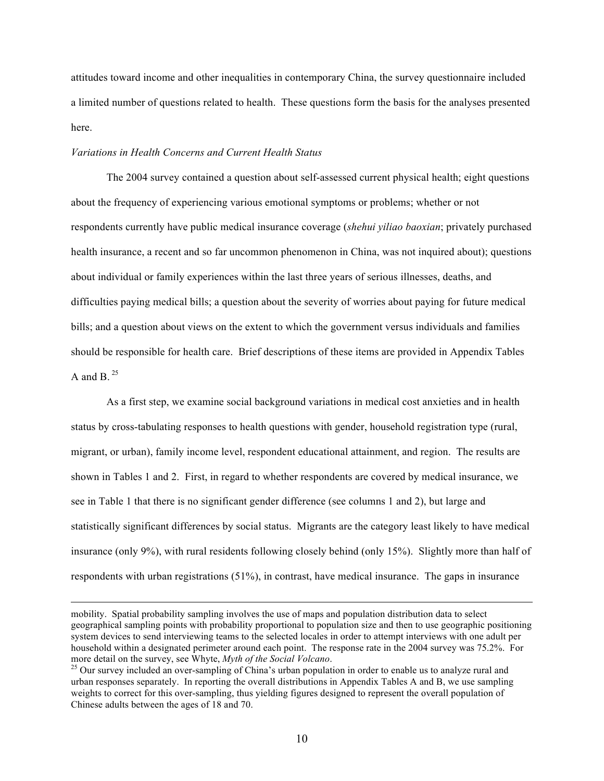attitudes toward income and other inequalities in contemporary China, the survey questionnaire included a limited number of questions related to health. These questions form the basis for the analyses presented here.

### *Variations in Health Concerns and Current Health Status*

 $\overline{a}$ 

The 2004 survey contained a question about self-assessed current physical health; eight questions about the frequency of experiencing various emotional symptoms or problems; whether or not respondents currently have public medical insurance coverage (*shehui yiliao baoxian*; privately purchased health insurance, a recent and so far uncommon phenomenon in China, was not inquired about); questions about individual or family experiences within the last three years of serious illnesses, deaths, and difficulties paying medical bills; a question about the severity of worries about paying for future medical bills; and a question about views on the extent to which the government versus individuals and families should be responsible for health care. Brief descriptions of these items are provided in Appendix Tables A and B  $^{25}$ 

As a first step, we examine social background variations in medical cost anxieties and in health status by cross-tabulating responses to health questions with gender, household registration type (rural, migrant, or urban), family income level, respondent educational attainment, and region. The results are shown in Tables 1 and 2. First, in regard to whether respondents are covered by medical insurance, we see in Table 1 that there is no significant gender difference (see columns 1 and 2), but large and statistically significant differences by social status. Migrants are the category least likely to have medical insurance (only 9%), with rural residents following closely behind (only 15%). Slightly more than half of respondents with urban registrations (51%), in contrast, have medical insurance. The gaps in insurance

mobility. Spatial probability sampling involves the use of maps and population distribution data to select geographical sampling points with probability proportional to population size and then to use geographic positioning system devices to send interviewing teams to the selected locales in order to attempt interviews with one adult per household within a designated perimeter around each point. The response rate in the 2004 survey was 75.2%. For more detail on the survey, see Whyte, *Myth of the Social Volcano*.<br><sup>25</sup> Our survey included an over-sampling of China's urban population in order to enable us to analyze rural and

urban responses separately. In reporting the overall distributions in Appendix Tables A and B, we use sampling weights to correct for this over-sampling, thus yielding figures designed to represent the overall population of Chinese adults between the ages of 18 and 70.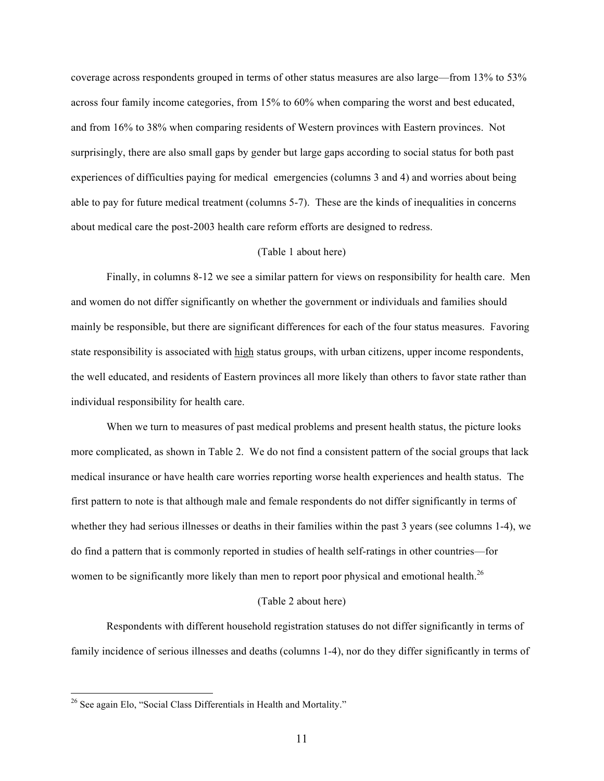coverage across respondents grouped in terms of other status measures are also large—from 13% to 53% across four family income categories, from 15% to 60% when comparing the worst and best educated, and from 16% to 38% when comparing residents of Western provinces with Eastern provinces. Not surprisingly, there are also small gaps by gender but large gaps according to social status for both past experiences of difficulties paying for medical emergencies (columns 3 and 4) and worries about being able to pay for future medical treatment (columns 5-7). These are the kinds of inequalities in concerns about medical care the post-2003 health care reform efforts are designed to redress.

### (Table 1 about here)

Finally, in columns 8-12 we see a similar pattern for views on responsibility for health care. Men and women do not differ significantly on whether the government or individuals and families should mainly be responsible, but there are significant differences for each of the four status measures. Favoring state responsibility is associated with high status groups, with urban citizens, upper income respondents, the well educated, and residents of Eastern provinces all more likely than others to favor state rather than individual responsibility for health care.

When we turn to measures of past medical problems and present health status, the picture looks more complicated, as shown in Table 2. We do not find a consistent pattern of the social groups that lack medical insurance or have health care worries reporting worse health experiences and health status. The first pattern to note is that although male and female respondents do not differ significantly in terms of whether they had serious illnesses or deaths in their families within the past 3 years (see columns 1-4), we do find a pattern that is commonly reported in studies of health self-ratings in other countries—for women to be significantly more likely than men to report poor physical and emotional health.<sup>26</sup>

#### (Table 2 about here)

Respondents with different household registration statuses do not differ significantly in terms of family incidence of serious illnesses and deaths (columns 1-4), nor do they differ significantly in terms of

<sup>&</sup>lt;sup>26</sup> See again Elo, "Social Class Differentials in Health and Mortality."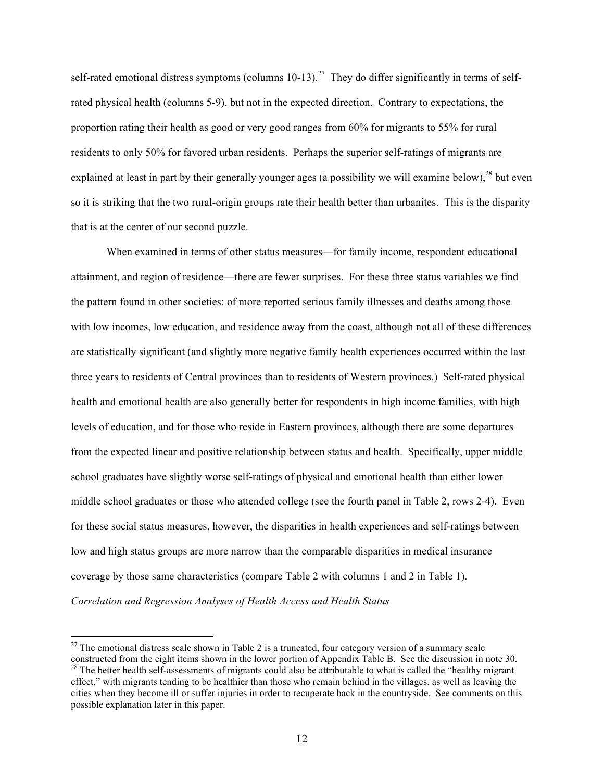self-rated emotional distress symptoms (columns  $10-13$ ).<sup>27</sup> They do differ significantly in terms of selfrated physical health (columns 5-9), but not in the expected direction. Contrary to expectations, the proportion rating their health as good or very good ranges from 60% for migrants to 55% for rural residents to only 50% for favored urban residents. Perhaps the superior self-ratings of migrants are explained at least in part by their generally younger ages (a possibility we will examine below), <sup>28</sup> but even so it is striking that the two rural-origin groups rate their health better than urbanites. This is the disparity that is at the center of our second puzzle.

When examined in terms of other status measures—for family income, respondent educational attainment, and region of residence—there are fewer surprises. For these three status variables we find the pattern found in other societies: of more reported serious family illnesses and deaths among those with low incomes, low education, and residence away from the coast, although not all of these differences are statistically significant (and slightly more negative family health experiences occurred within the last three years to residents of Central provinces than to residents of Western provinces.) Self-rated physical health and emotional health are also generally better for respondents in high income families, with high levels of education, and for those who reside in Eastern provinces, although there are some departures from the expected linear and positive relationship between status and health. Specifically, upper middle school graduates have slightly worse self-ratings of physical and emotional health than either lower middle school graduates or those who attended college (see the fourth panel in Table 2, rows 2-4). Even for these social status measures, however, the disparities in health experiences and self-ratings between low and high status groups are more narrow than the comparable disparities in medical insurance coverage by those same characteristics (compare Table 2 with columns 1 and 2 in Table 1).

*Correlation and Regression Analyses of Health Access and Health Status*

<sup>&</sup>lt;sup>27</sup> The emotional distress scale shown in Table 2 is a truncated, four category version of a summary scale constructed from the eight items shown in the lower portion of Appendix Table B. See the discussion in note 30. <sup>28</sup> The better health self-assessments of migrants could also be attributable to what is called the "healthy migrant" effect," with migrants tending to be healthier than those who remain behind in the villages, as well as leaving the cities when they become ill or suffer injuries in order to recuperate back in the countryside. See comments on this possible explanation later in this paper.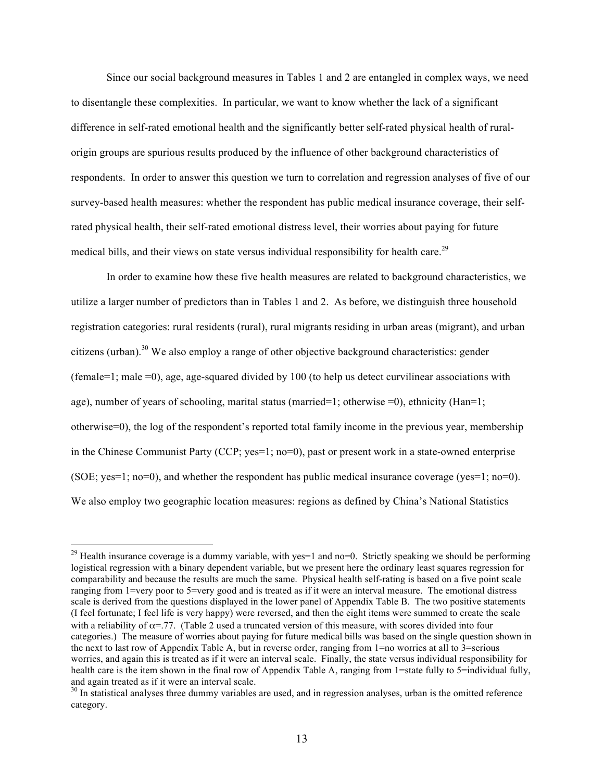Since our social background measures in Tables 1 and 2 are entangled in complex ways, we need to disentangle these complexities. In particular, we want to know whether the lack of a significant difference in self-rated emotional health and the significantly better self-rated physical health of ruralorigin groups are spurious results produced by the influence of other background characteristics of respondents. In order to answer this question we turn to correlation and regression analyses of five of our survey-based health measures: whether the respondent has public medical insurance coverage, their selfrated physical health, their self-rated emotional distress level, their worries about paying for future medical bills, and their views on state versus individual responsibility for health care.<sup>29</sup>

In order to examine how these five health measures are related to background characteristics, we utilize a larger number of predictors than in Tables 1 and 2. As before, we distinguish three household registration categories: rural residents (rural), rural migrants residing in urban areas (migrant), and urban citizens (urban).<sup>30</sup> We also employ a range of other objective background characteristics: gender (female=1; male =0), age, age-squared divided by 100 (to help us detect curvilinear associations with age), number of years of schooling, marital status (married=1; otherwise =0), ethnicity (Han=1; otherwise=0), the log of the respondent's reported total family income in the previous year, membership in the Chinese Communist Party (CCP; yes=1; no=0), past or present work in a state-owned enterprise (SOE; yes=1; no=0), and whether the respondent has public medical insurance coverage (yes=1; no=0). We also employ two geographic location measures: regions as defined by China's National Statistics

<sup>&</sup>lt;sup>29</sup> Health insurance coverage is a dummy variable, with yes=1 and no=0. Strictly speaking we should be performing logistical regression with a binary dependent variable, but we present here the ordinary least squares regression for comparability and because the results are much the same. Physical health self-rating is based on a five point scale ranging from 1=very poor to 5=very good and is treated as if it were an interval measure. The emotional distress scale is derived from the questions displayed in the lower panel of Appendix Table B. The two positive statements (I feel fortunate; I feel life is very happy) were reversed, and then the eight items were summed to create the scale with a reliability of  $\alpha$ =.77. (Table 2 used a truncated version of this measure, with scores divided into four categories.) The measure of worries about paying for future medical bills was based on the single question shown in the next to last row of Appendix Table A, but in reverse order, ranging from 1=no worries at all to 3=serious worries, and again this is treated as if it were an interval scale. Finally, the state versus individual responsibility for health care is the item shown in the final row of Appendix Table A, ranging from 1=state fully to 5=individual fully, and again treated as if it were an interval scale.

<sup>&</sup>lt;sup>30</sup> In statistical analyses three dummy variables are used, and in regression analyses, urban is the omitted reference category.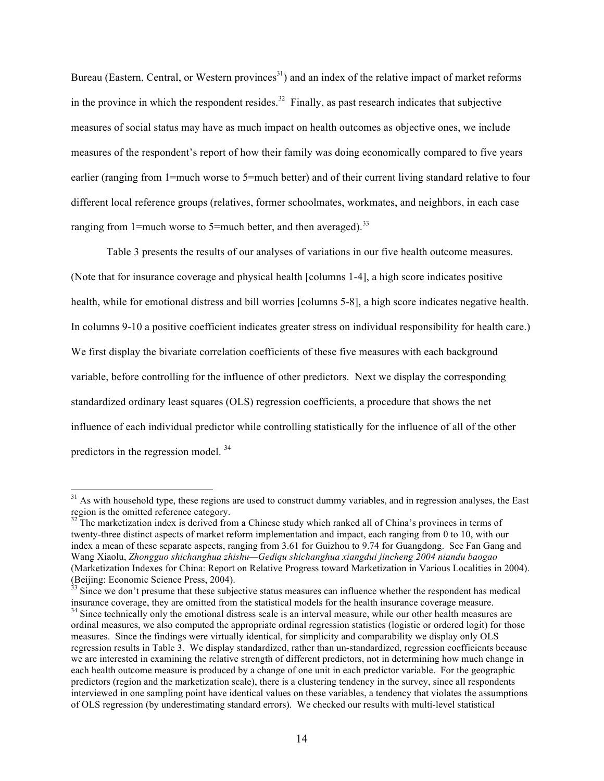Bureau (Eastern, Central, or Western provinces<sup>31</sup>) and an index of the relative impact of market reforms in the province in which the respondent resides.<sup>32</sup> Finally, as past research indicates that subjective measures of social status may have as much impact on health outcomes as objective ones, we include measures of the respondent's report of how their family was doing economically compared to five years earlier (ranging from 1=much worse to 5=much better) and of their current living standard relative to four different local reference groups (relatives, former schoolmates, workmates, and neighbors, in each case ranging from 1=much worse to 5=much better, and then averaged).<sup>33</sup>

Table 3 presents the results of our analyses of variations in our five health outcome measures. (Note that for insurance coverage and physical health [columns 1-4], a high score indicates positive health, while for emotional distress and bill worries [columns 5-8], a high score indicates negative health. In columns 9-10 a positive coefficient indicates greater stress on individual responsibility for health care.) We first display the bivariate correlation coefficients of these five measures with each background variable, before controlling for the influence of other predictors. Next we display the corresponding standardized ordinary least squares (OLS) regression coefficients, a procedure that shows the net influence of each individual predictor while controlling statistically for the influence of all of the other predictors in the regression model. <sup>34</sup>

 $31$  As with household type, these regions are used to construct dummy variables, and in regression analyses, the East region is the omitted reference category.

 $32$ <sup>32</sup> The marketization index is derived from a Chinese study which ranked all of China's provinces in terms of twenty-three distinct aspects of market reform implementation and impact, each ranging from 0 to 10, with our index a mean of these separate aspects, ranging from 3.61 for Guizhou to 9.74 for Guangdong. See Fan Gang and Wang Xiaolu, *Zhongguo shichanghua zhishu—Gediqu shichanghua xiangdui jincheng 2004 niandu baogao* (Marketization Indexes for China: Report on Relative Progress toward Marketization in Various Localities in 2004). (Beijing: Economic Science Press, 2004).

 $33$  Since we don't presume that these subjective status measures can influence whether the respondent has medical insurance coverage, they are omitted from the statistical models for the health insurance coverage measure.<br><sup>34</sup> Since technically only the emotional distress scale is an interval measure, while our other health measures a ordinal measures, we also computed the appropriate ordinal regression statistics (logistic or ordered logit) for those measures. Since the findings were virtually identical, for simplicity and comparability we display only OLS regression results in Table 3. We display standardized, rather than un-standardized, regression coefficients because we are interested in examining the relative strength of different predictors, not in determining how much change in each health outcome measure is produced by a change of one unit in each predictor variable. For the geographic predictors (region and the marketization scale), there is a clustering tendency in the survey, since all respondents interviewed in one sampling point have identical values on these variables, a tendency that violates the assumptions of OLS regression (by underestimating standard errors). We checked our results with multi-level statistical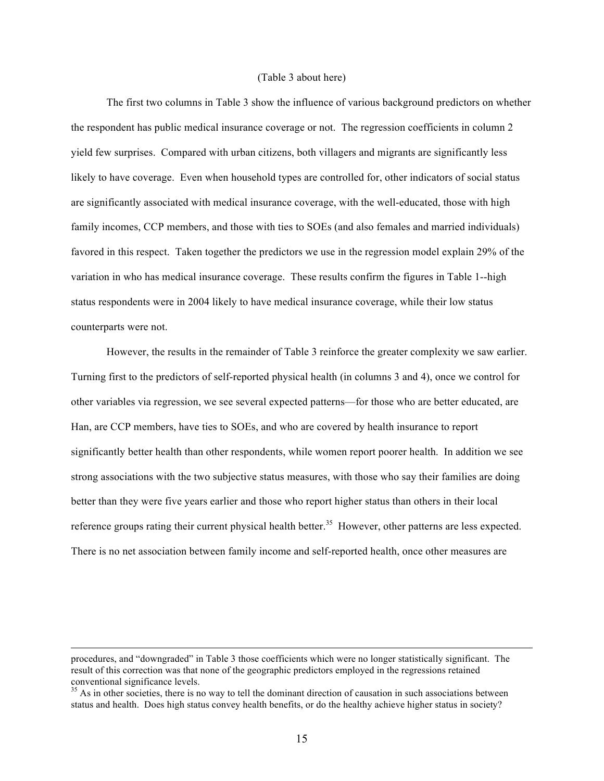#### (Table 3 about here)

The first two columns in Table 3 show the influence of various background predictors on whether the respondent has public medical insurance coverage or not. The regression coefficients in column 2 yield few surprises. Compared with urban citizens, both villagers and migrants are significantly less likely to have coverage. Even when household types are controlled for, other indicators of social status are significantly associated with medical insurance coverage, with the well-educated, those with high family incomes, CCP members, and those with ties to SOEs (and also females and married individuals) favored in this respect. Taken together the predictors we use in the regression model explain 29% of the variation in who has medical insurance coverage. These results confirm the figures in Table 1--high status respondents were in 2004 likely to have medical insurance coverage, while their low status counterparts were not.

However, the results in the remainder of Table 3 reinforce the greater complexity we saw earlier. Turning first to the predictors of self-reported physical health (in columns 3 and 4), once we control for other variables via regression, we see several expected patterns—for those who are better educated, are Han, are CCP members, have ties to SOEs, and who are covered by health insurance to report significantly better health than other respondents, while women report poorer health. In addition we see strong associations with the two subjective status measures, with those who say their families are doing better than they were five years earlier and those who report higher status than others in their local reference groups rating their current physical health better.<sup>35</sup> However, other patterns are less expected. There is no net association between family income and self-reported health, once other measures are

procedures, and "downgraded" in Table 3 those coefficients which were no longer statistically significant. The result of this correction was that none of the geographic predictors employed in the regressions retained conventional significance levels.<br><sup>35</sup> As in other societies, there is no way to tell the dominant direction of causation in such associations between

status and health. Does high status convey health benefits, or do the healthy achieve higher status in society?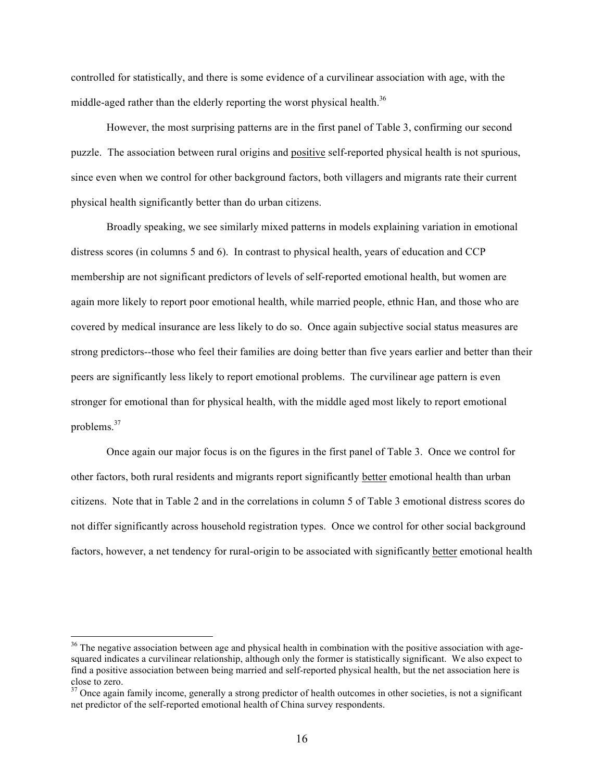controlled for statistically, and there is some evidence of a curvilinear association with age, with the middle-aged rather than the elderly reporting the worst physical health.<sup>36</sup>

However, the most surprising patterns are in the first panel of Table 3, confirming our second puzzle. The association between rural origins and positive self-reported physical health is not spurious, since even when we control for other background factors, both villagers and migrants rate their current physical health significantly better than do urban citizens.

Broadly speaking, we see similarly mixed patterns in models explaining variation in emotional distress scores (in columns 5 and 6). In contrast to physical health, years of education and CCP membership are not significant predictors of levels of self-reported emotional health, but women are again more likely to report poor emotional health, while married people, ethnic Han, and those who are covered by medical insurance are less likely to do so. Once again subjective social status measures are strong predictors--those who feel their families are doing better than five years earlier and better than their peers are significantly less likely to report emotional problems. The curvilinear age pattern is even stronger for emotional than for physical health, with the middle aged most likely to report emotional problems.<sup>37</sup>

Once again our major focus is on the figures in the first panel of Table 3. Once we control for other factors, both rural residents and migrants report significantly better emotional health than urban citizens. Note that in Table 2 and in the correlations in column 5 of Table 3 emotional distress scores do not differ significantly across household registration types. Once we control for other social background factors, however, a net tendency for rural-origin to be associated with significantly better emotional health

<sup>&</sup>lt;sup>36</sup> The negative association between age and physical health in combination with the positive association with agesquared indicates a curvilinear relationship, although only the former is statistically significant. We also expect to find a positive association between being married and self-reported physical health, but the net association here is close to zero.

 $37$  Once again family income, generally a strong predictor of health outcomes in other societies, is not a significant net predictor of the self-reported emotional health of China survey respondents.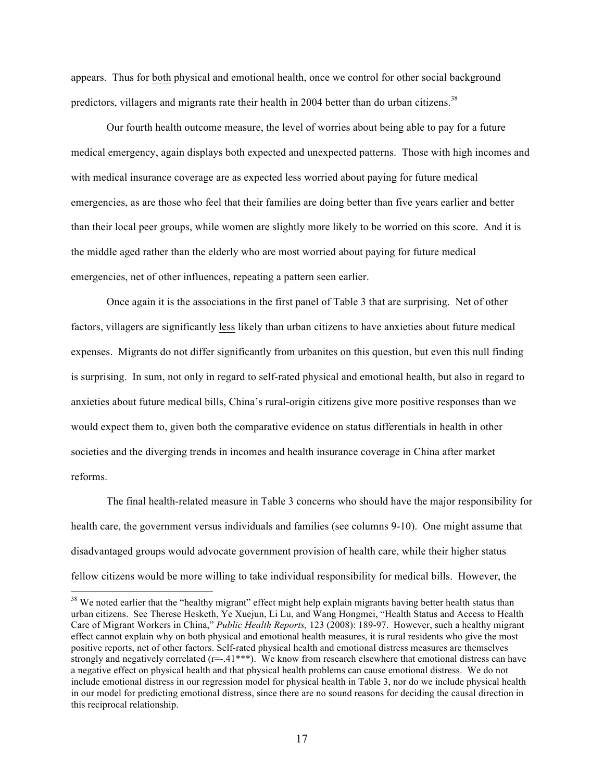appears. Thus for both physical and emotional health, once we control for other social background predictors, villagers and migrants rate their health in 2004 better than do urban citizens.<sup>38</sup>

Our fourth health outcome measure, the level of worries about being able to pay for a future medical emergency, again displays both expected and unexpected patterns. Those with high incomes and with medical insurance coverage are as expected less worried about paying for future medical emergencies, as are those who feel that their families are doing better than five years earlier and better than their local peer groups, while women are slightly more likely to be worried on this score. And it is the middle aged rather than the elderly who are most worried about paying for future medical emergencies, net of other influences, repeating a pattern seen earlier.

Once again it is the associations in the first panel of Table 3 that are surprising. Net of other factors, villagers are significantly less likely than urban citizens to have anxieties about future medical expenses. Migrants do not differ significantly from urbanites on this question, but even this null finding is surprising. In sum, not only in regard to self-rated physical and emotional health, but also in regard to anxieties about future medical bills, China's rural-origin citizens give more positive responses than we would expect them to, given both the comparative evidence on status differentials in health in other societies and the diverging trends in incomes and health insurance coverage in China after market reforms.

The final health-related measure in Table 3 concerns who should have the major responsibility for health care, the government versus individuals and families (see columns 9-10). One might assume that disadvantaged groups would advocate government provision of health care, while their higher status fellow citizens would be more willing to take individual responsibility for medical bills. However, the

<sup>&</sup>lt;sup>38</sup> We noted earlier that the "healthy migrant" effect might help explain migrants having better health status than urban citizens. See Therese Hesketh, Ye Xuejun, Li Lu, and Wang Hongmei, "Health Status and Access to Health Care of Migrant Workers in China," *Public Health Reports,* 123 (2008): 189-97. However, such a healthy migrant effect cannot explain why on both physical and emotional health measures, it is rural residents who give the most positive reports, net of other factors. Self-rated physical health and emotional distress measures are themselves strongly and negatively correlated  $(r=-.41***)$ . We know from research elsewhere that emotional distress can have a negative effect on physical health and that physical health problems can cause emotional distress. We do not include emotional distress in our regression model for physical health in Table 3, nor do we include physical health in our model for predicting emotional distress, since there are no sound reasons for deciding the causal direction in this reciprocal relationship.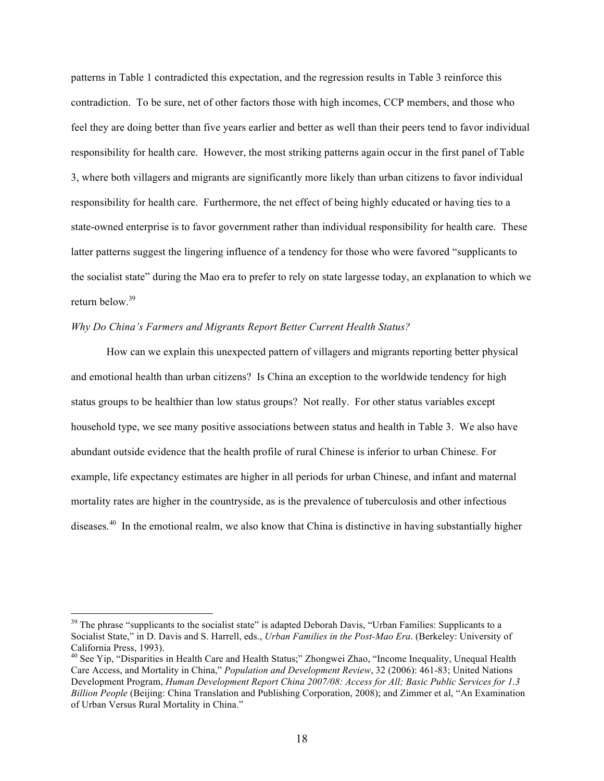patterns in Table 1 contradicted this expectation, and the regression results in Table 3 reinforce this contradiction. To be sure, net of other factors those with high incomes, CCP members, and those who feel they are doing better than five years earlier and better as well than their peers tend to favor individual responsibility for health care. However, the most striking patterns again occur in the first panel of Table 3, where both villagers and migrants are significantly more likely than urban citizens to favor individual responsibility for health care. Furthermore, the net effect of being highly educated or having ties to a state-owned enterprise is to favor government rather than individual responsibility for health care. These latter patterns suggest the lingering influence of a tendency for those who were favored "supplicants to the socialist state" during the Mao era to prefer to rely on state largesse today, an explanation to which we return below. 39

### *Why Do China's Farmers and Migrants Report Better Current Health Status?*

How can we explain this unexpected pattern of villagers and migrants reporting better physical and emotional health than urban citizens? Is China an exception to the worldwide tendency for high status groups to be healthier than low status groups? Not really. For other status variables except household type, we see many positive associations between status and health in Table 3. We also have abundant outside evidence that the health profile of rural Chinese is inferior to urban Chinese. For example, life expectancy estimates are higher in all periods for urban Chinese, and infant and maternal mortality rates are higher in the countryside, as is the prevalence of tuberculosis and other infectious diseases.40 In the emotional realm, we also know that China is distinctive in having substantially higher

 $39$  The phrase "supplicants to the socialist state" is adapted Deborah Davis, "Urban Families: Supplicants to a Socialist State," in D. Davis and S. Harrell, eds., *Urban Families in the Post-Mao Era*. (Berkeley: University of California Press, 1993).

<sup>&</sup>lt;sup>40</sup> See Yip, "Disparities in Health Care and Health Status;" Zhongwei Zhao, "Income Inequality, Unequal Health Care Access, and Mortality in China," *Population and Development Review*, 32 (2006): 461-83; United Nations Development Program, *Human Development Report China 2007/08: Access for All; Basic Public Services for 1.3 Billion People* (Beijing: China Translation and Publishing Corporation, 2008); and Zimmer et al, "An Examination of Urban Versus Rural Mortality in China."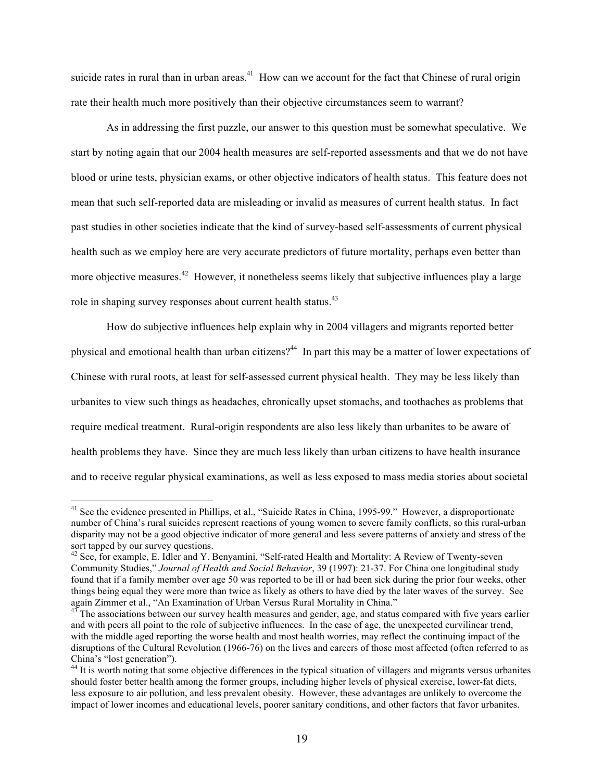suicide rates in rural than in urban areas.<sup>41</sup> How can we account for the fact that Chinese of rural origin rate their health much more positively than their objective circumstances seem to warrant?

As in addressing the first puzzle, our answer to this question must be somewhat speculative. We start by noting again that our 2004 health measures are self-reported assessments and that we do not have blood or urine tests, physician exams, or other objective indicators of health status. This feature does not mean that such self-reported data are misleading or invalid as measures of current health status. In fact past studies in other societies indicate that the kind of survey-based self-assessments of current physical health such as we employ here are very accurate predictors of future mortality, perhaps even better than more objective measures.<sup>42</sup> However, it nonetheless seems likely that subjective influences play a large role in shaping survey responses about current health status.<sup>43</sup>

How do subjective influences help explain why in 2004 villagers and migrants reported better physical and emotional health than urban citizens?<sup>44</sup> In part this may be a matter of lower expectations of Chinese with rural roots, at least for self-assessed current physical health. They may be less likely than urbanites to view such things as headaches, chronically upset stomachs, and toothaches as problems that require medical treatment. Rural-origin respondents are also less likely than urbanites to be aware of health problems they have. Since they are much less likely than urban citizens to have health insurance and to receive regular physical examinations, as well as less exposed to mass media stories about societal

<sup>&</sup>lt;sup>41</sup> See the evidence presented in Phillips, et al., "Suicide Rates in China, 1995-99." However, a disproportionate number of China's rural suicides represent reactions of young women to severe family conflicts, so this rural-urban disparity may not be a good objective indicator of more general and less severe patterns of anxiety and stress of the sort tapped by our survey questions.

<sup>&</sup>lt;sup>42</sup> See, for example, E. Idler and Y. Benyamini, "Self-rated Health and Mortality: A Review of Twenty-seven Community Studies," *Journal of Health and Social Behavior*, 39 (1997): 21-37. For China one longitudinal study found that if a family member over age 50 was reported to be ill or had been sick during the prior four weeks, other things being equal they were more than twice as likely as others to have died by the later waves of the survey. See again Zimmer et al., "An Examination of Urban Versus Rural Mortality in China."

The associations between our survey health measures and gender, age, and status compared with five years earlier and with peers all point to the role of subjective influences. In the case of age, the unexpected curvilinear trend, with the middle aged reporting the worse health and most health worries, may reflect the continuing impact of the disruptions of the Cultural Revolution (1966-76) on the lives and careers of those most affected (often referred to as China's "lost generation").

<sup>&</sup>lt;sup>44</sup> It is worth noting that some objective differences in the typical situation of villagers and migrants versus urbanites should foster better health among the former groups, including higher levels of physical exercise, lower-fat diets, less exposure to air pollution, and less prevalent obesity. However, these advantages are unlikely to overcome the impact of lower incomes and educational levels, poorer sanitary conditions, and other factors that favor urbanites.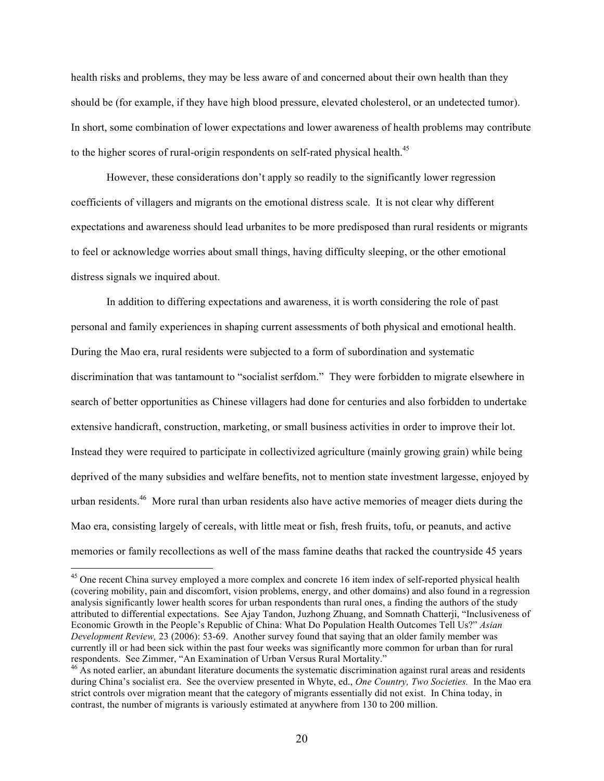health risks and problems, they may be less aware of and concerned about their own health than they should be (for example, if they have high blood pressure, elevated cholesterol, or an undetected tumor). In short, some combination of lower expectations and lower awareness of health problems may contribute to the higher scores of rural-origin respondents on self-rated physical health.<sup>45</sup>

However, these considerations don't apply so readily to the significantly lower regression coefficients of villagers and migrants on the emotional distress scale. It is not clear why different expectations and awareness should lead urbanites to be more predisposed than rural residents or migrants to feel or acknowledge worries about small things, having difficulty sleeping, or the other emotional distress signals we inquired about.

In addition to differing expectations and awareness, it is worth considering the role of past personal and family experiences in shaping current assessments of both physical and emotional health. During the Mao era, rural residents were subjected to a form of subordination and systematic discrimination that was tantamount to "socialist serfdom." They were forbidden to migrate elsewhere in search of better opportunities as Chinese villagers had done for centuries and also forbidden to undertake extensive handicraft, construction, marketing, or small business activities in order to improve their lot. Instead they were required to participate in collectivized agriculture (mainly growing grain) while being deprived of the many subsidies and welfare benefits, not to mention state investment largesse, enjoyed by urban residents.<sup>46</sup> More rural than urban residents also have active memories of meager diets during the Mao era, consisting largely of cereals, with little meat or fish, fresh fruits, tofu, or peanuts, and active memories or family recollections as well of the mass famine deaths that racked the countryside 45 years

<sup>&</sup>lt;sup>45</sup> One recent China survey employed a more complex and concrete 16 item index of self-reported physical health (covering mobility, pain and discomfort, vision problems, energy, and other domains) and also found in a regression analysis significantly lower health scores for urban respondents than rural ones, a finding the authors of the study attributed to differential expectations. See Ajay Tandon, Juzhong Zhuang, and Somnath Chatterji, "Inclusiveness of Economic Growth in the People's Republic of China: What Do Population Health Outcomes Tell Us?" *Asian Development Review,* 23 (2006): 53-69. Another survey found that saying that an older family member was currently ill or had been sick within the past four weeks was significantly more common for urban than for rural respondents. See Zimmer, "An Examination of Urban Versus Rural Mortality."

 $46$  As noted earlier, an abundant literature documents the systematic discrimination against rural areas and residents during China's socialist era. See the overview presented in Whyte, ed., *One Country, Two Societies.* In the Mao era strict controls over migration meant that the category of migrants essentially did not exist. In China today, in contrast, the number of migrants is variously estimated at anywhere from 130 to 200 million.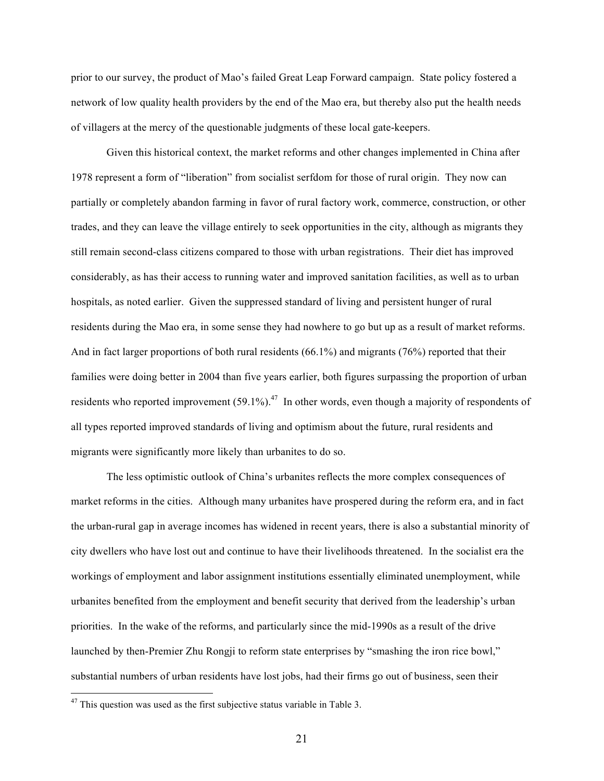prior to our survey, the product of Mao's failed Great Leap Forward campaign. State policy fostered a network of low quality health providers by the end of the Mao era, but thereby also put the health needs of villagers at the mercy of the questionable judgments of these local gate-keepers.

Given this historical context, the market reforms and other changes implemented in China after 1978 represent a form of "liberation" from socialist serfdom for those of rural origin. They now can partially or completely abandon farming in favor of rural factory work, commerce, construction, or other trades, and they can leave the village entirely to seek opportunities in the city, although as migrants they still remain second-class citizens compared to those with urban registrations. Their diet has improved considerably, as has their access to running water and improved sanitation facilities, as well as to urban hospitals, as noted earlier. Given the suppressed standard of living and persistent hunger of rural residents during the Mao era, in some sense they had nowhere to go but up as a result of market reforms. And in fact larger proportions of both rural residents (66.1%) and migrants (76%) reported that their families were doing better in 2004 than five years earlier, both figures surpassing the proportion of urban residents who reported improvement  $(59.1\%)$ .<sup>47</sup> In other words, even though a majority of respondents of all types reported improved standards of living and optimism about the future, rural residents and migrants were significantly more likely than urbanites to do so.

The less optimistic outlook of China's urbanites reflects the more complex consequences of market reforms in the cities. Although many urbanites have prospered during the reform era, and in fact the urban-rural gap in average incomes has widened in recent years, there is also a substantial minority of city dwellers who have lost out and continue to have their livelihoods threatened. In the socialist era the workings of employment and labor assignment institutions essentially eliminated unemployment, while urbanites benefited from the employment and benefit security that derived from the leadership's urban priorities. In the wake of the reforms, and particularly since the mid-1990s as a result of the drive launched by then-Premier Zhu Rongji to reform state enterprises by "smashing the iron rice bowl," substantial numbers of urban residents have lost jobs, had their firms go out of business, seen their

 $47$  This question was used as the first subjective status variable in Table 3.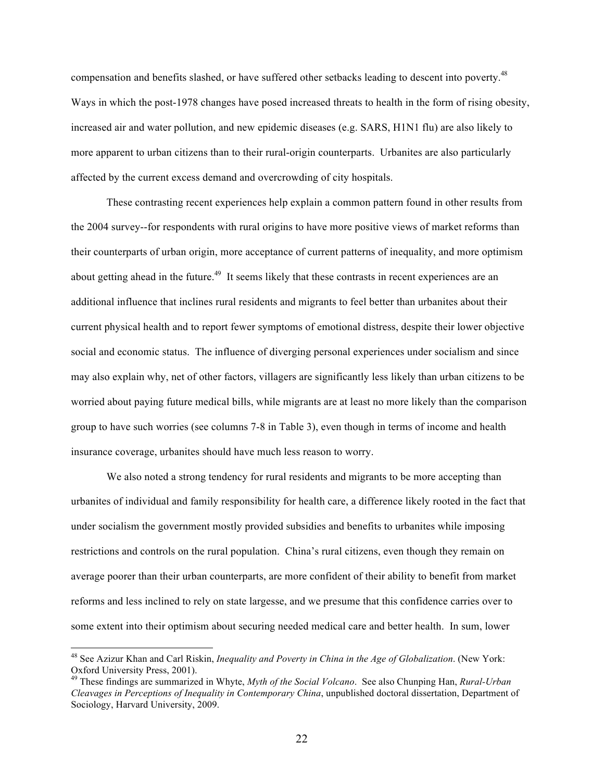compensation and benefits slashed, or have suffered other setbacks leading to descent into poverty.<sup>48</sup> Ways in which the post-1978 changes have posed increased threats to health in the form of rising obesity, increased air and water pollution, and new epidemic diseases (e.g. SARS, H1N1 flu) are also likely to more apparent to urban citizens than to their rural-origin counterparts. Urbanites are also particularly affected by the current excess demand and overcrowding of city hospitals.

These contrasting recent experiences help explain a common pattern found in other results from the 2004 survey--for respondents with rural origins to have more positive views of market reforms than their counterparts of urban origin, more acceptance of current patterns of inequality, and more optimism about getting ahead in the future.<sup>49</sup> It seems likely that these contrasts in recent experiences are an additional influence that inclines rural residents and migrants to feel better than urbanites about their current physical health and to report fewer symptoms of emotional distress, despite their lower objective social and economic status. The influence of diverging personal experiences under socialism and since may also explain why, net of other factors, villagers are significantly less likely than urban citizens to be worried about paying future medical bills, while migrants are at least no more likely than the comparison group to have such worries (see columns 7-8 in Table 3), even though in terms of income and health insurance coverage, urbanites should have much less reason to worry.

We also noted a strong tendency for rural residents and migrants to be more accepting than urbanites of individual and family responsibility for health care, a difference likely rooted in the fact that under socialism the government mostly provided subsidies and benefits to urbanites while imposing restrictions and controls on the rural population. China's rural citizens, even though they remain on average poorer than their urban counterparts, are more confident of their ability to benefit from market reforms and less inclined to rely on state largesse, and we presume that this confidence carries over to some extent into their optimism about securing needed medical care and better health. In sum, lower

 <sup>48</sup> See Azizur Khan and Carl Riskin, *Inequality and Poverty in China in the Age of Globalization*. (New York: Oxford University Press, 2001).

<sup>49</sup> These findings are summarized in Whyte, *Myth of the Social Volcano*. See also Chunping Han, *Rural-Urban Cleavages in Perceptions of Inequality in Contemporary China*, unpublished doctoral dissertation, Department of Sociology, Harvard University, 2009.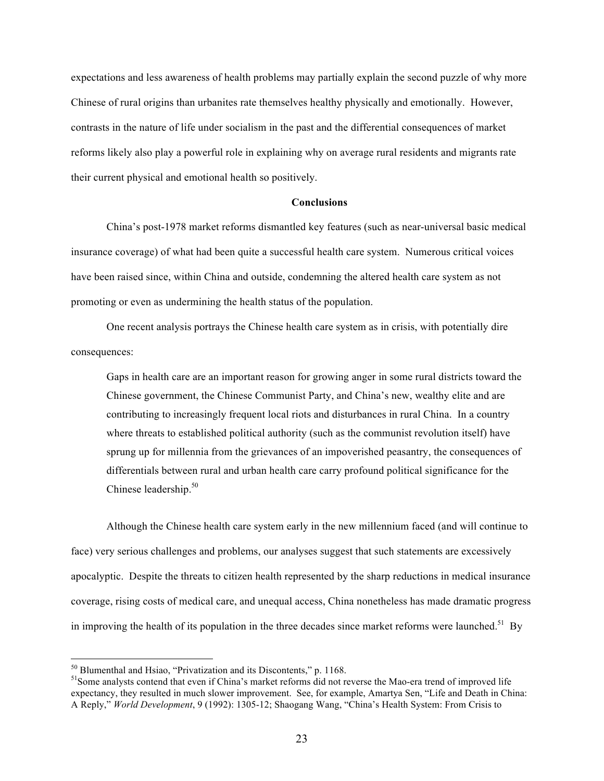expectations and less awareness of health problems may partially explain the second puzzle of why more Chinese of rural origins than urbanites rate themselves healthy physically and emotionally. However, contrasts in the nature of life under socialism in the past and the differential consequences of market reforms likely also play a powerful role in explaining why on average rural residents and migrants rate their current physical and emotional health so positively.

#### **Conclusions**

China's post-1978 market reforms dismantled key features (such as near-universal basic medical insurance coverage) of what had been quite a successful health care system. Numerous critical voices have been raised since, within China and outside, condemning the altered health care system as not promoting or even as undermining the health status of the population.

One recent analysis portrays the Chinese health care system as in crisis, with potentially dire consequences:

Gaps in health care are an important reason for growing anger in some rural districts toward the Chinese government, the Chinese Communist Party, and China's new, wealthy elite and are contributing to increasingly frequent local riots and disturbances in rural China. In a country where threats to established political authority (such as the communist revolution itself) have sprung up for millennia from the grievances of an impoverished peasantry, the consequences of differentials between rural and urban health care carry profound political significance for the Chinese leadership. $50$ 

Although the Chinese health care system early in the new millennium faced (and will continue to face) very serious challenges and problems, our analyses suggest that such statements are excessively apocalyptic. Despite the threats to citizen health represented by the sharp reductions in medical insurance coverage, rising costs of medical care, and unequal access, China nonetheless has made dramatic progress in improving the health of its population in the three decades since market reforms were launched.<sup>51</sup> By

 $<sup>50</sup>$  Blumenthal and Hsiao, "Privatization and its Discontents," p. 1168.<br><sup>51</sup>Some analysts contend that even if China's market reforms did not reverse the Mao-era trend of improved life</sup> expectancy, they resulted in much slower improvement. See, for example, Amartya Sen, "Life and Death in China: A Reply," *World Development*, 9 (1992): 1305-12; Shaogang Wang, "China's Health System: From Crisis to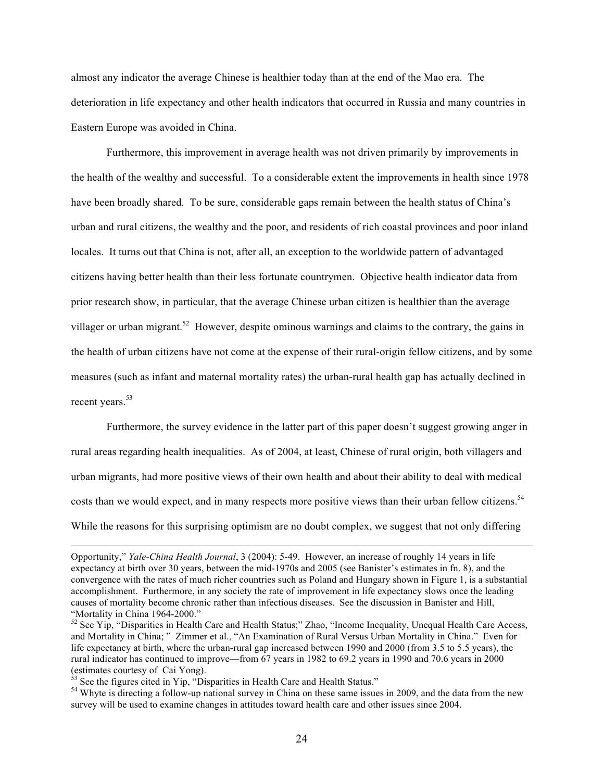almost any indicator the average Chinese is healthier today than at the end of the Mao era. The deterioration in life expectancy and other health indicators that occurred in Russia and many countries in Eastern Europe was avoided in China.

Furthermore, this improvement in average health was not driven primarily by improvements in the health of the wealthy and successful. To a considerable extent the improvements in health since 1978 have been broadly shared. To be sure, considerable gaps remain between the health status of China's urban and rural citizens, the wealthy and the poor, and residents of rich coastal provinces and poor inland locales. It turns out that China is not, after all, an exception to the worldwide pattern of advantaged citizens having better health than their less fortunate countrymen. Objective health indicator data from prior research show, in particular, that the average Chinese urban citizen is healthier than the average villager or urban migrant.<sup>52</sup> However, despite ominous warnings and claims to the contrary, the gains in the health of urban citizens have not come at the expense of their rural-origin fellow citizens, and by some measures (such as infant and maternal mortality rates) the urban-rural health gap has actually declined in recent years.<sup>53</sup>

 Furthermore, the survey evidence in the latter part of this paper doesn't suggest growing anger in rural areas regarding health inequalities. As of 2004, at least, Chinese of rural origin, both villagers and urban migrants, had more positive views of their own health and about their ability to deal with medical costs than we would expect, and in many respects more positive views than their urban fellow citizens.<sup>54</sup> While the reasons for this surprising optimism are no doubt complex, we suggest that not only differing

Opportunity," *Yale-China Health Journal*, 3 (2004): 5-49. However, an increase of roughly 14 years in life expectancy at birth over 30 years, between the mid-1970s and 2005 (see Banister's estimates in fn. 8), and the convergence with the rates of much richer countries such as Poland and Hungary shown in Figure 1, is a substantial accomplishment. Furthermore, in any society the rate of improvement in life expectancy slows once the leading causes of mortality become chronic rather than infectious diseases. See the discussion in Banister and Hill,

<sup>&</sup>lt;sup>52</sup> See Yip, "Disparities in Health Care and Health Status;" Zhao, "Income Inequality, Unequal Health Care Access, and Mortality in China; " Zimmer et al., "An Examination of Rural Versus Urban Mortality in China." Even for life expectancy at birth, where the urban-rural gap increased between 1990 and 2000 (from 3.5 to 5.5 years), the rural indicator has continued to improve—from 67 years in 1982 to 69.2 years in 1990 and 70.6 years in 2000 (estimates courtesy of Cai Yong).<br><sup>53</sup> See the figures cited in Yip, "Disparities in Health Care and Health Status."<br><sup>54</sup> Whyte is directing a follow-up national survey in China on these same issues in 2009, and the data f

survey will be used to examine changes in attitudes toward health care and other issues since 2004.